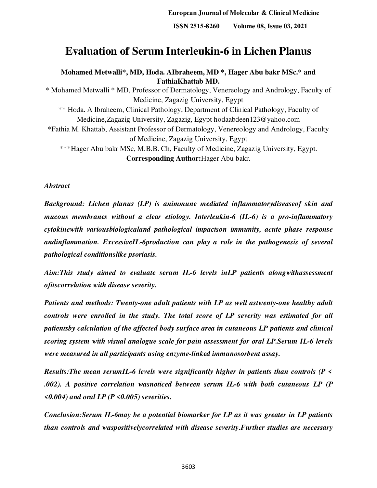**ISSN 2515-8260 Volume 08, Issue 03, 2021**

# **Evaluation of Serum Interleukin-6 in Lichen Planus**

**Mohamed Metwalli\*, MD, Hoda. AIbraheem, MD \*, Hager Abu bakr MSc.\* and FathiaKhattab MD.** 

\* Mohamed Metwalli \* MD, Professor of Dermatology, Venereology and Andrology, Faculty of Medicine, Zagazig University, Egypt \*\* Hoda. A Ibraheem, Clinical Pathology, Department of Clinical Pathology, Faculty of Medicine,Zagazig University, Zagazig, Egypt hodaabdeen123@yahoo.com \*Fathia M. Khattab, Assistant Professor of Dermatology, Venereology and Andrology, Faculty of Medicine, Zagazig University, Egypt \*\*\*Hager Abu bakr MSc, M.B.B. Ch, Faculty of Medicine, Zagazig University, Egypt. **Corresponding Author:**Hager Abu bakr.

### *Abstract*

*Background: Lichen planus (LP) is animmune mediated inflammatorydiseaseof skin and mucous membranes without a clear etiology. Interleukin-6 (IL-6) is a pro-inflammatory cytokinewith variousbiologicaland pathological impactson immunity, acute phase response andinflammation. ExcessiveIL-6production can play a role in the pathogenesis of several pathological conditionslike psoriasis.* 

*Aim:This study aimed to evaluate serum IL-6 levels inLP patients alongwithassessment ofitscorrelation with disease severity.* 

*Patients and methods: Twenty-one adult patients with LP as well astwenty-one healthy adult controls were enrolled in the study. The total score of LP severity was estimated for all patientsby calculation of the affected body surface area in cutaneous LP patients and clinical scoring system with visual analogue scale for pain assessment for oral LP.Serum IL-6 levels were measured in all participants using enzyme-linked immunosorbent assay.* 

*Results:The mean serumIL-6 levels were significantly higher in patients than controls (P < .002). A positive correlation wasnoticed between serum IL-6 with both cutaneous LP (P <0.004) and oral LP (P <0.005) severities.* 

*Conclusion:Serum IL-6may be a potential biomarker for LP as it was greater in LP patients than controls and waspositivelycorrelated with disease severity.Further studies are necessary*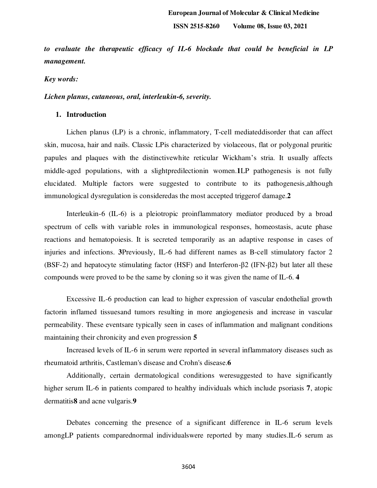**ISSN 2515-8260 Volume 08, Issue 03, 2021**

*to evaluate the therapeutic efficacy of IL-6 blockade that could be beneficial in LP management.* 

#### *Key words:*

#### *Lichen planus, cutaneous, oral, interleukin-6, severity.*

### **1. Introduction**

Lichen planus (LP) is a chronic, inflammatory, T-cell mediateddisorder that can affect skin, mucosa, hair and nails. Classic LPis characterized by violaceous, flat or polygonal pruritic papules and plaques with the distinctivewhite reticular Wickham's stria. It usually affects middle-aged populations, with a slightpredilectionin women.**1**LP pathogenesis is not fully elucidated. Multiple factors were suggested to contribute to its pathogenesis,although immunological dysregulation is consideredas the most accepted triggerof damage.**2** 

Interleukin-6 (IL-6) is a pleiotropic proinflammatory mediator produced by a broad spectrum of cells with variable roles in immunological responses, homeostasis, acute phase reactions and hematopoiesis. It is secreted temporarily as an adaptive response in cases of injuries and infections. **3**Previously, IL-6 had different names as B-cell stimulatory factor 2 (BSF-2) and hepatocyte stimulating factor (HSF) and Interferon-β2 (IFN-β2) but later all these compounds were proved to be the same by cloning so it was given the name of IL-6. **4**

Excessive IL-6 production can lead to higher expression of vascular endothelial growth factorin inflamed tissuesand tumors resulting in more angiogenesis and increase in vascular permeability. These eventsare typically seen in cases of inflammation and malignant conditions maintaining their chronicity and even progression **5** 

Increased levels of IL-6 in serum were reported in several inflammatory diseases such as rheumatoid arthritis, Castleman's disease and Crohn's disease.**6** 

Additionally, certain dermatological conditions weresuggested to have significantly higher serum IL-6 in patients compared to healthy individuals which include psoriasis **7**, atopic dermatitis**8** and acne vulgaris.**9**

Debates concerning the presence of a significant difference in IL-6 serum levels amongLP patients comparednormal individualswere reported by many studies.IL-6 serum as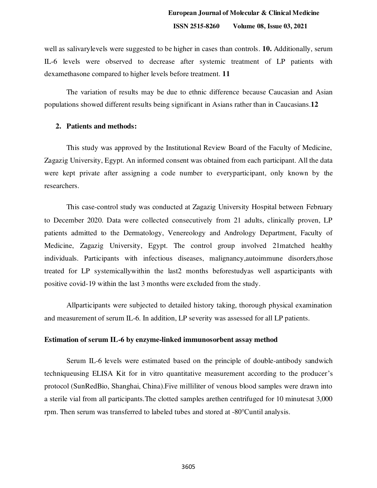well as salivarylevels were suggested to be higher in cases than controls. **10.** Additionally, serum IL-6 levels were observed to decrease after systemic treatment of LP patients with dexamethasone compared to higher levels before treatment. **11**

The variation of results may be due to ethnic difference because Caucasian and Asian populations showed different results being significant in Asians rather than in Caucasians.**12**

### **2. Patients and methods:**

This study was approved by the Institutional Review Board of the Faculty of Medicine, Zagazig University, Egypt. An informed consent was obtained from each participant. All the data were kept private after assigning a code number to everyparticipant, only known by the researchers.

This case-control study was conducted at Zagazig University Hospital between February to December 2020. Data were collected consecutively from 21 adults, clinically proven, LP patients admitted to the Dermatology, Venereology and Andrology Department, Faculty of Medicine, Zagazig University, Egypt. The control group involved 21matched healthy individuals. Participants with infectious diseases, malignancy,autoimmune disorders,those treated for LP systemicallywithin the last2 months beforestudyas well asparticipants with positive covid-19 within the last 3 months were excluded from the study.

Allparticipants were subjected to detailed history taking, thorough physical examination and measurement of serum IL-6. In addition, LP severity was assessed for all LP patients.

## **Estimation of serum IL-6 by enzyme-linked immunosorbent assay method**

Serum IL-6 levels were estimated based on the principle of double-antibody sandwich techniqueusing ELISA Kit for in vitro quantitative measurement according to the producer's protocol (SunRedBio, Shanghai, China).Five milliliter of venous blood samples were drawn into a sterile vial from all participants.The clotted samples arethen centrifuged for 10 minutesat 3,000 rpm. Then serum was transferred to labeled tubes and stored at -80℃until analysis.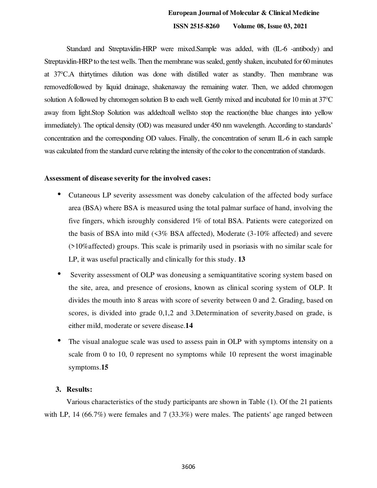# **European Journal of Molecular & Clinical Medicine ISSN 2515-8260 Volume 08, Issue 03, 2021**

Standard and Streptavidin-HRP were mixed.Sample was added, with (IL-6 -antibody) and Streptavidin-HRP to the test wells. Then the membrane was sealed, gently shaken, incubated for 60 minutes at 37℃.A thirtytimes dilution was done with distilled water as standby. Then membrane was removedfollowed by liquid drainage, shakenaway the remaining water. Then, we added chromogen solution A followed by chromogen solution B to each well. Gently mixed and incubated for 10 min at 37℃ away from light.Stop Solution was addedtoall wellsto stop the reaction(the blue changes into yellow immediately). The optical density (OD) was measured under 450 nm wavelength. According to standards' concentration and the corresponding OD values. Finally, the concentration of serum IL-6 in each sample was calculated from the standard curve relating the intensity of the color to the concentration of standards.

### **Assessment of disease severity for the involved cases:**

- Cutaneous LP severity assessment was doneby calculation of the affected body surface area (BSA) where BSA is measured using the total palmar surface of hand, involving the five fingers, which isroughly considered 1% of total BSA. Patients were categorized on the basis of BSA into mild (<3% BSA affected), Moderate (3-10% affected) and severe (>10%affected) groups. This scale is primarily used in psoriasis with no similar scale for LP, it was useful practically and clinically for this study. **13**
- Severity assessment of OLP was doneusing a semiquantitative scoring system based on the site, area, and presence of erosions, known as clinical scoring system of OLP. It divides the mouth into 8 areas with score of severity between 0 and 2. Grading, based on scores, is divided into grade 0,1,2 and 3.Determination of severity,based on grade, is either mild, moderate or severe disease.**14**
- The visual analogue scale was used to assess pain in OLP with symptoms intensity on a scale from 0 to 10, 0 represent no symptoms while 10 represent the worst imaginable symptoms.**15**

## **3. Results:**

Various characteristics of the study participants are shown in Table (1). Of the 21 patients with LP, 14 (66.7%) were females and 7 (33.3%) were males. The patients' age ranged between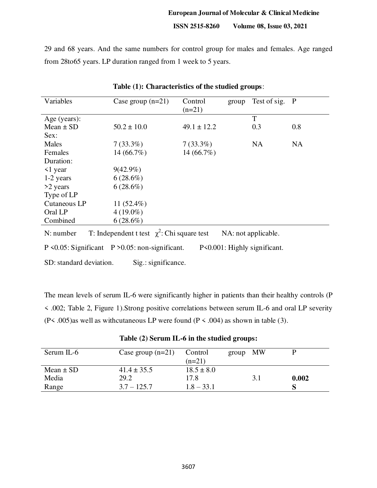# **European Journal of Molecular & Clinical Medicine**

### **ISSN 2515-8260 Volume 08, Issue 03, 2021**

29 and 68 years. And the same numbers for control group for males and females. Age ranged from 28to65 years. LP duration ranged from 1 week to 5 years.

| Variables                                                                                | Case group $(n=21)$                              | Control<br>$(n=21)$ | group | Test of sig.        | P         |  |  |
|------------------------------------------------------------------------------------------|--------------------------------------------------|---------------------|-------|---------------------|-----------|--|--|
| Age (years):                                                                             |                                                  |                     |       | T                   |           |  |  |
| Mean $\pm$ SD                                                                            | $50.2 \pm 10.0$                                  | $49.1 \pm 12.2$     |       | 0.3                 | 0.8       |  |  |
| Sex:                                                                                     |                                                  |                     |       |                     |           |  |  |
| Males                                                                                    | $7(33.3\%)$                                      | $7(33.3\%)$         |       | <b>NA</b>           | <b>NA</b> |  |  |
| Females                                                                                  | $14(66.7\%)$                                     | $14(66.7\%)$        |       |                     |           |  |  |
| Duration:                                                                                |                                                  |                     |       |                     |           |  |  |
| $\leq$ 1 year                                                                            | $9(42.9\%)$                                      |                     |       |                     |           |  |  |
| 1-2 years                                                                                | $6(28.6\%)$                                      |                     |       |                     |           |  |  |
| >2 years                                                                                 | $6(28.6\%)$                                      |                     |       |                     |           |  |  |
| Type of LP                                                                               |                                                  |                     |       |                     |           |  |  |
| Cutaneous LP                                                                             | 11 $(52.4\%)$                                    |                     |       |                     |           |  |  |
| Oral LP                                                                                  | $4(19.0\%)$                                      |                     |       |                     |           |  |  |
| Combined                                                                                 | $6(28.6\%)$                                      |                     |       |                     |           |  |  |
| $N:$ number                                                                              | T: Independent t test $\chi^2$ : Chi square test |                     |       | NA: not applicable. |           |  |  |
| $P \le 0.05$ : Significant $P > 0.05$ : non-significant.<br>P<0.001: Highly significant. |                                                  |                     |       |                     |           |  |  |
| SD: standard deviation.<br>Sig.: significance.                                           |                                                  |                     |       |                     |           |  |  |

### **Table (1): Characteristics of the studied groups**:

The mean levels of serum IL-6 were significantly higher in patients than their healthy controls (P < .002; Table 2, Figure 1).Strong positive correlations between serum IL-6 and oral LP severity (P< .005)as well as withcutaneous LP were found (P < .004) as shown in table (3).

| Serum IL-6    | Case group $(n=21)$ | Control<br>$(n=21)$ | group | MW  |       |
|---------------|---------------------|---------------------|-------|-----|-------|
| Mean $\pm$ SD | $41.4 \pm 35.5$     | $18.5 \pm 8.0$      |       |     |       |
| Media         | 29.2                | 17.8                |       | 3.1 | 0.002 |
| Range         | $3.7 - 125.7$       | $1.8 - 33.1$        |       |     |       |

## **Table (2) Serum IL-6 in the studied groups:**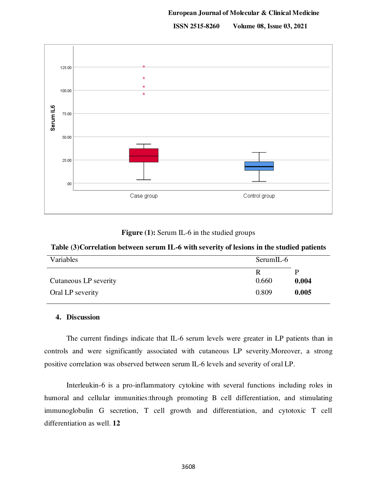**ISSN 2515-8260 Volume 08, Issue 03, 2021**



**Figure (1):** Serum IL-6 in the studied groups

**Table (3)Correlation between serum IL-6 with severity of lesions in the studied patients** 

| Variables             | SerumIL-6 |       |
|-----------------------|-----------|-------|
| Cutaneous LP severity | 0.660     | 0.004 |
| Oral LP severity      | 0.809     | 0.005 |

### **4. Discussion**

The current findings indicate that IL-6 serum levels were greater in LP patients than in controls and were significantly associated with cutaneous LP severity.Moreover, a strong positive correlation was observed between serum IL-6 levels and severity of oral LP.

Interleukin-6 is a pro-inflammatory cytokine with several functions including roles in humoral and cellular immunities:through promoting B cell differentiation, and stimulating immunoglobulin G secretion, T cell growth and differentiation, and cytotoxic T cell differentiation as well. **12**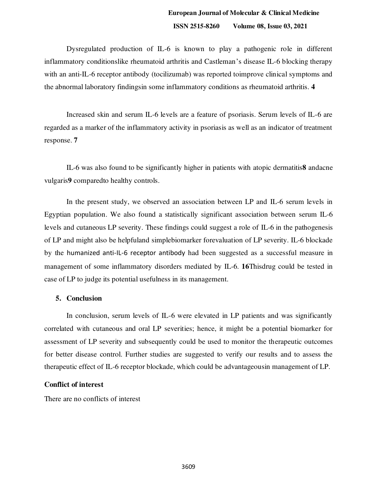# **European Journal of Molecular & Clinical Medicine ISSN 2515-8260 Volume 08, Issue 03, 2021**

Dysregulated production of IL-6 is known to play a pathogenic role in different inflammatory conditionslike rheumatoid arthritis and Castleman's disease IL-6 blocking therapy with an anti-IL-6 receptor antibody (tocilizumab) was reported toimprove clinical symptoms and the abnormal laboratory findingsin some inflammatory conditions as rheumatoid arthritis. **4** 

Increased skin and serum IL-6 levels are a feature of psoriasis. Serum levels of IL-6 are regarded as a marker of the inflammatory activity in psoriasis as well as an indicator of treatment response. **7** 

IL-6 was also found to be significantly higher in patients with atopic dermatitis**8** andacne vulgaris**9** comparedto healthy controls.

In the present study, we observed an association between LP and IL-6 serum levels in Egyptian population. We also found a statistically significant association between serum IL-6 levels and cutaneous LP severity. These findings could suggest a role of IL-6 in the pathogenesis of LP and might also be helpfuland simplebiomarker forevaluation of LP severity. IL-6 blockade by the humanized anti-IL-6 receptor antibody had been suggested as a successful measure in management of some inflammatory disorders mediated by IL-6. **16**Thisdrug could be tested in case of LP to judge its potential usefulness in its management.

## **5. Conclusion**

In conclusion, serum levels of IL-6 were elevated in LP patients and was significantly correlated with cutaneous and oral LP severities; hence, it might be a potential biomarker for assessment of LP severity and subsequently could be used to monitor the therapeutic outcomes for better disease control. Further studies are suggested to verify our results and to assess the therapeutic effect of IL-6 receptor blockade, which could be advantageousin management of LP.

## **Conflict of interest**

There are no conflicts of interest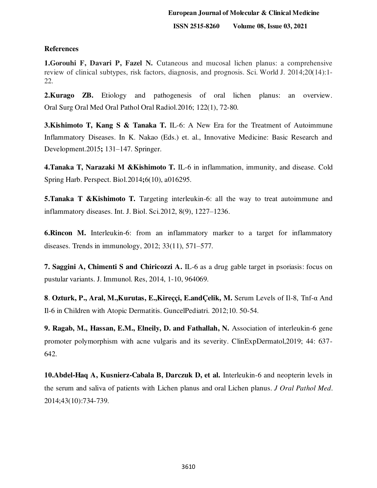# **European Journal of Molecular & Clinical Medicine ISSN 2515-8260 Volume 08, Issue 03, 2021**

## **References**

**1.Gorouhi F, Davari P, Fazel N.** Cutaneous and mucosal lichen planus: a comprehensive review of clinical subtypes, risk factors, diagnosis, and prognosis. Sci. World J. 2014;20(14):1- 22.

**2.Kurago ZB.** Etiology and pathogenesis of oral lichen planus: an overview. Oral Surg Oral Med Oral Pathol Oral Radiol.2016; 122(1), 72-80.

**3.Kishimoto T, Kang S & Tanaka T.** IL-6: A New Era for the Treatment of Autoimmune Inflammatory Diseases. In K. Nakao (Eds.) et. al., Innovative Medicine: Basic Research and Development.2015**;** 131–147. Springer.

**4.Tanaka T, Narazaki M &Kishimoto T.** IL-6 in inflammation, immunity, and disease. Cold Spring Harb. Perspect. Biol.2014**;**6(10), a016295.

**5.Tanaka T &Kishimoto T.** Targeting interleukin-6: all the way to treat autoimmune and inflammatory diseases. Int. J. Biol. Sci.2012, 8(9), 1227–1236.

**6.Rincon M.** Interleukin-6: from an inflammatory marker to a target for inflammatory diseases. Trends in immunology, 2012; 33(11), 571–577.

**7. Saggini A, Chimenti S and Chiricozzi A.** IL-6 as a drug gable target in psoriasis: focus on pustular variants. J. Immunol. Res, 2014, 1-10, 964069.

**8**. **Ozturk, P., Aral, M.,Kurutas, E.,Kireççi, E.andÇelik, M.** Serum Levels of Il-8, Tnf-α And Il-6 in Children with Atopic Dermatitis. GuncelPediatri. 2012;10. 50-54.

**9. Ragab, M., Hassan, E.M., Elneily, D. and Fathallah, N.** Association of interleukin-6 gene promoter polymorphism with acne vulgaris and its severity. ClinExpDermatol,2019; 44: 637- 642.

**10.Abdel-Haq A, Kusnierz-Cabala B, Darczuk D, et al.** Interleukin-6 and neopterin levels in the serum and saliva of patients with Lichen planus and oral Lichen planus. *J Oral Pathol Med*. 2014;43(10):734-739.